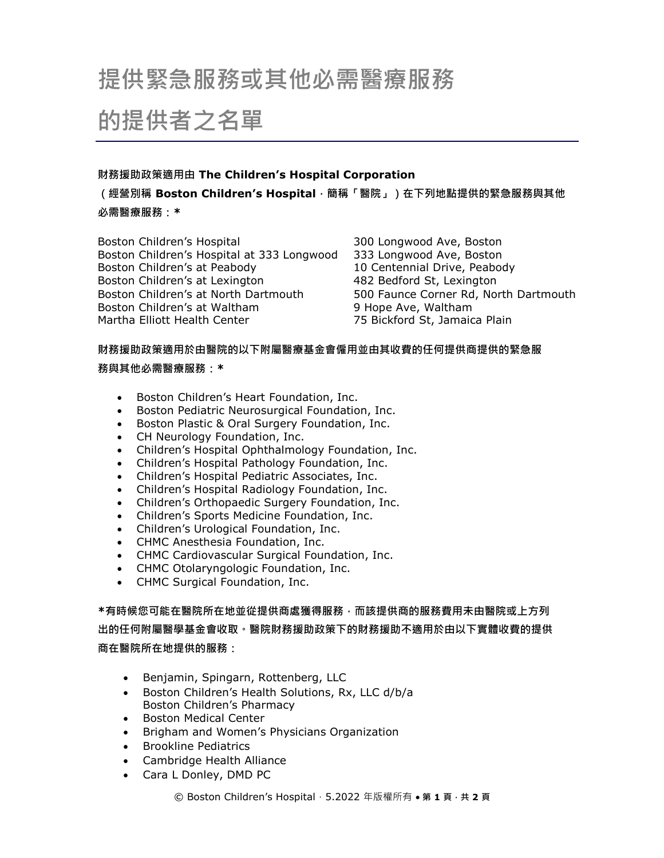# **提供緊急服務或其他必需醫療服務**

# **的提供者之名單**

## **財務援助政策適用由 The Children's Hospital Corporation**

**(經營別稱 Boston Children's Hospital,簡稱「醫院」)在下列地點提供的緊急服務與其他 必需醫療服務:\***

Boston Children's Hospital 300 Longwood Ave, Boston Boston Children's Hospital at 333 Longwood 333 Longwood Ave, Boston Boston Children's at Peabody 10 Centennial Drive, Peabody Boston Children's at Lexington 482 Bedford St, Lexington Boston Children's at North Dartmouth 500 Faunce Corner Rd, North Dartmouth Boston Children's at Waltham 9 Hope Ave, Waltham Martha Elliott Health Center 75 Bickford St, Jamaica Plain

### **財務援助政策適用於由醫院的以下附屬醫療基金會僱用並由其收費的任何提供商提供的緊急服**

### **務與其他必需醫療服務:\***

- Boston Children's Heart Foundation, Inc.
- Boston Pediatric Neurosurgical Foundation, Inc.
- **Boston Plastic & Oral Surgery Foundation, Inc.**
- CH Neurology Foundation, Inc.
- Children's Hospital Ophthalmology Foundation, Inc.
- Children's Hospital Pathology Foundation, Inc.
- Children's Hospital Pediatric Associates, Inc.
- Children's Hospital Radiology Foundation, Inc.
- Children's Orthopaedic Surgery Foundation, Inc.
- Children's Sports Medicine Foundation, Inc.
- Children's Urological Foundation, Inc.
- CHMC Anesthesia Foundation, Inc.
- CHMC Cardiovascular Surgical Foundation, Inc.
- CHMC Otolaryngologic Foundation, Inc.
- CHMC Surgical Foundation, Inc.

**\*有時候您可能在醫院所在地並從提供商處獲得服務,而該提供商的服務費用未由醫院或上方列 出的任何附屬醫學基金會收取。醫院財務援助政策下的財務援助不適用於由以下實體收費的提供 商在醫院所在地提供的服務:**

- Benjamin, Spingarn, Rottenberg, LLC
- Boston Children's Health Solutions, Rx, LLC d/b/a Boston Children's Pharmacy
- Boston Medical Center
- Brigham and Women's Physicians Organization
- Brookline Pediatrics
- Cambridge Health Alliance
- Cara L Donley, DMD PC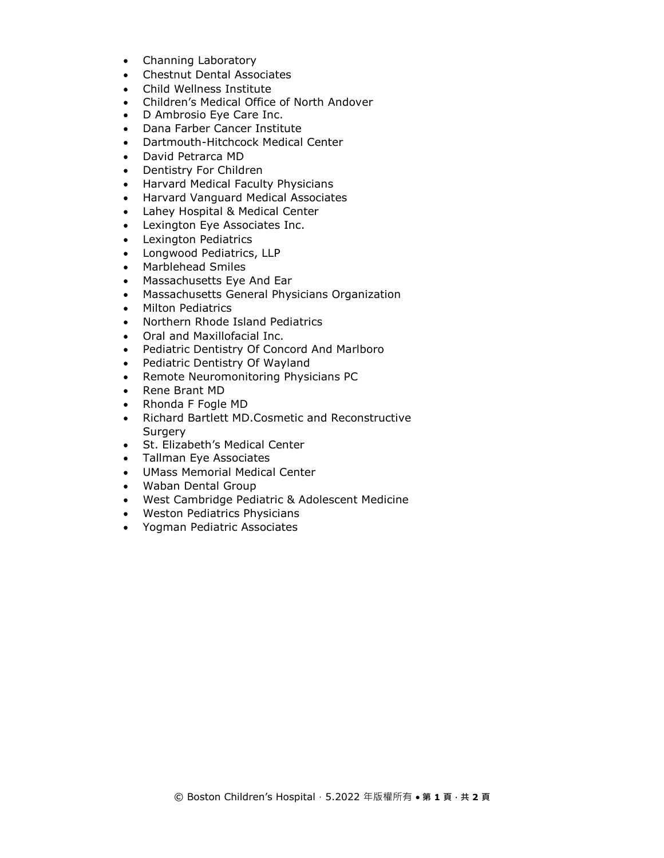- Channing Laboratory
- Chestnut Dental Associates
- Child Wellness Institute
- Children's Medical Office of North Andover
- D Ambrosio Eye Care Inc.
- Dana Farber Cancer Institute
- Dartmouth-Hitchcock Medical Center
- David Petrarca MD
- Dentistry For Children
- Harvard Medical Faculty Physicians
- Harvard Vanguard Medical Associates
- Lahey Hospital & Medical Center
- Lexington Eye Associates Inc.
- Lexington Pediatrics
- Longwood Pediatrics, LLP
- Marblehead Smiles
- Massachusetts Eye And Ear
- Massachusetts General Physicians Organization
- Milton Pediatrics
- Northern Rhode Island Pediatrics
- Oral and Maxillofacial Inc.
- Pediatric Dentistry Of Concord And Marlboro
- Pediatric Dentistry Of Wayland
- Remote Neuromonitoring Physicians PC
- Rene Brant MD
- Rhonda F Fogle MD
- Richard Bartlett MD.Cosmetic and Reconstructive **Surgery**
- St. Elizabeth's Medical Center
- Tallman Eye Associates
- UMass Memorial Medical Center
- Waban Dental Group
- West Cambridge Pediatric & Adolescent Medicine
- Weston Pediatrics Physicians
- Yogman Pediatric Associates